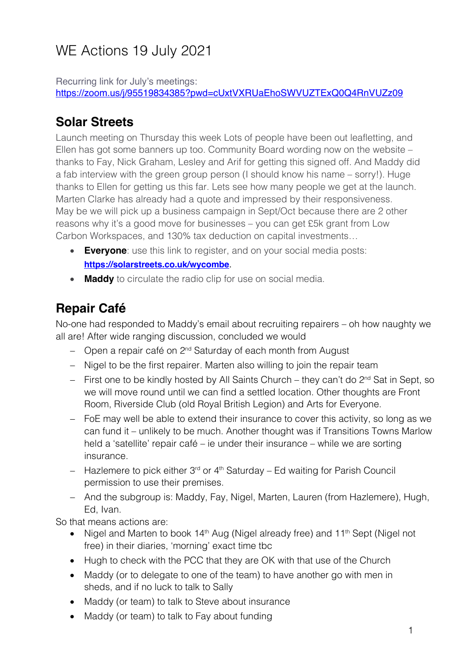# WE Actions 19 July 2021

Recurring link for July's meetings: https://zoom.us/j/95519834385?pwd=cUxtVXRUaEhoSWVUZTExQ0Q4RnVUZz09

### **Solar Streets**

Launch meeting on Thursday this week Lots of people have been out leafletting, and Ellen has got some banners up too. Community Board wording now on the website – thanks to Fay, Nick Graham, Lesley and Arif for getting this signed off. And Maddy did a fab interview with the green group person (I should know his name – sorry!). Huge thanks to Ellen for getting us this far. Lets see how many people we get at the launch. Marten Clarke has already had a quote and impressed by their responsiveness. May be we will pick up a business campaign in Sept/Oct because there are 2 other reasons why it's a good move for businesses – you can get £5k grant from Low Carbon Workspaces, and 130% tax deduction on capital investments…

- **Everyone**: use this link to register, and on your social media posts: **https://solarstreets.co.uk/wycombe**.
- **Maddy** to circulate the radio clip for use on social media.

# **Repair Café**

No-one had responded to Maddy's email about recruiting repairers – oh how naughty we all are! After wide ranging discussion, concluded we would

- Open a repair café on 2<sup>nd</sup> Saturday of each month from August
- Nigel to be the first repairer. Marten also willing to join the repair team
- $-$  First one to be kindly hosted by All Saints Church they can't do  $2^{nd}$  Sat in Sept, so we will move round until we can find a settled location. Other thoughts are Front Room, Riverside Club (old Royal British Legion) and Arts for Everyone.
- FoE may well be able to extend their insurance to cover this activity, so long as we can fund it – unlikely to be much. Another thought was if Transitions Towns Marlow held a 'satellite' repair café – ie under their insurance – while we are sorting insurance.
- $-$  Hazlemere to pick either 3<sup>rd</sup> or 4<sup>th</sup> Saturday Ed waiting for Parish Council permission to use their premises.
- And the subgroup is: Maddy, Fay, Nigel, Marten, Lauren (from Hazlemere), Hugh, Ed, Ivan.

So that means actions are:

- Nigel and Marten to book  $14<sup>th</sup>$  Aug (Nigel already free) and  $11<sup>th</sup>$  Sept (Nigel not free) in their diaries, 'morning' exact time tbc
- Hugh to check with the PCC that they are OK with that use of the Church
- Maddy (or to delegate to one of the team) to have another go with men in sheds, and if no luck to talk to Sally
- Maddy (or team) to talk to Steve about insurance
- Maddy (or team) to talk to Fay about funding